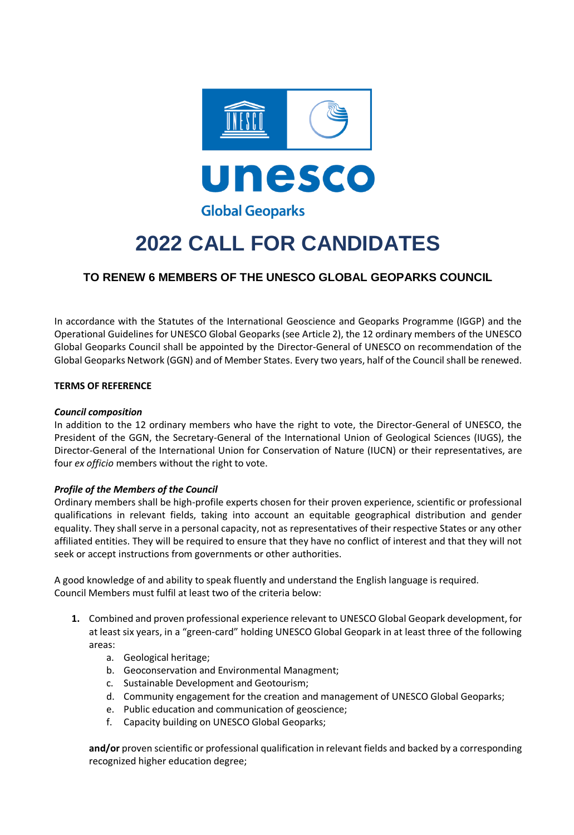

# **2022 CALL FOR CANDIDATES**

# **TO RENEW 6 MEMBERS OF THE UNESCO GLOBAL GEOPARKS COUNCIL**

In accordance with the Statutes of the International Geoscience and Geoparks Programme (IGGP) and the Operational Guidelines for UNESCO Global Geoparks (see Article 2), the 12 ordinary members of the UNESCO Global Geoparks Council shall be appointed by the Director-General of UNESCO on recommendation of the Global Geoparks Network (GGN) and of Member States. Every two years, half of the Council shall be renewed.

## **TERMS OF REFERENCE**

#### *Council composition*

In addition to the 12 ordinary members who have the right to vote, the Director-General of UNESCO, the President of the GGN, the Secretary-General of the International Union of Geological Sciences (IUGS), the Director-General of the International Union for Conservation of Nature (IUCN) or their representatives, are four *ex officio* members without the right to vote.

#### *Profile of the Members of the Council*

Ordinary members shall be high-profile experts chosen for their proven experience, scientific or professional qualifications in relevant fields, taking into account an equitable geographical distribution and gender equality. They shall serve in a personal capacity, not as representatives of their respective States or any other affiliated entities. They will be required to ensure that they have no conflict of interest and that they will not seek or accept instructions from governments or other authorities.

A good knowledge of and ability to speak fluently and understand the English language is required. Council Members must fulfil at least two of the criteria below:

- **1.** Combined and proven professional experience relevant to UNESCO Global Geopark development, for at least six years, in a "green-card" holding UNESCO Global Geopark in at least three of the following areas:
	- a. Geological heritage;
	- b. Geoconservation and Environmental Managment;
	- c. Sustainable Development and Geotourism;
	- d. Community engagement for the creation and management of UNESCO Global Geoparks;
	- e. Public education and communication of geoscience;
	- f. Capacity building on UNESCO Global Geoparks;

**and/or** proven scientific or professional qualification in relevant fields and backed by a corresponding recognized higher education degree;